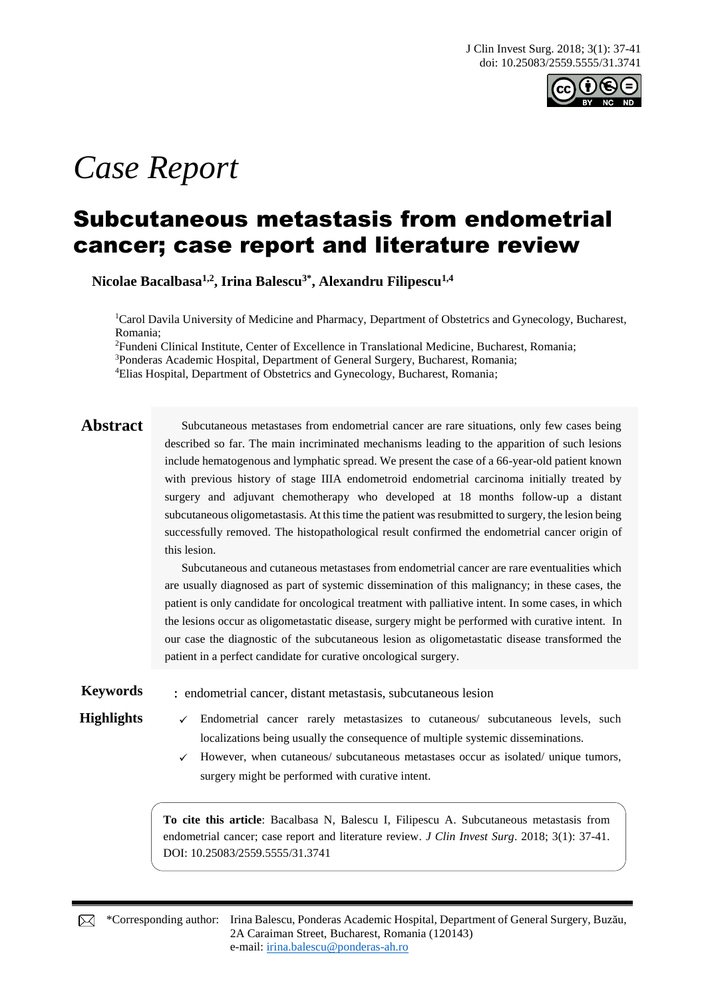

# *Case Report*

## Subcutaneous metastasis from endometrial cancer; case report and literature review

**Nicolae Bacalbasa1,2, Irina Balescu3\* , Alexandru Filipescu1,4**

<sup>1</sup>Carol Davila University of Medicine and Pharmacy, Department of Obstetrics and Gynecology, Bucharest, Romania;

<sup>2</sup>Fundeni Clinical Institute, Center of Excellence in Translational Medicine, Bucharest, Romania;

<sup>3</sup>Ponderas Academic Hospital, Department of General Surgery, Bucharest, Romania;

<sup>4</sup>Elias Hospital, Department of Obstetrics and Gynecology, Bucharest, Romania;

Abstract Subcutaneous metastases from endometrial cancer are rare situations, only few cases being described so far. The main incriminated mechanisms leading to the apparition of such lesions include hematogenous and lymphatic spread. We present the case of a 66-year-old patient known with previous history of stage IIIA endometroid endometrial carcinoma initially treated by surgery and adjuvant chemotherapy who developed at 18 months follow-up a distant subcutaneous oligometastasis. At this time the patient was resubmitted to surgery, the lesion being successfully removed. The histopathological result confirmed the endometrial cancer origin of this lesion.

> Subcutaneous and cutaneous metastases from endometrial cancer are rare eventualities which are usually diagnosed as part of systemic dissemination of this malignancy; in these cases, the patient is only candidate for oncological treatment with palliative intent. In some cases, in which the lesions occur as oligometastatic disease, surgery might be performed with curative intent. In our case the diagnostic of the subcutaneous lesion as oligometastatic disease transformed the patient in a perfect candidate for curative oncological surgery.

**Keywords** : endometrial cancer, distant metastasis, subcutaneous lesion

- Highlights √ Endometrial cancer rarely metastasizes to cutaneous/ subcutaneous levels, such localizations being usually the consequence of multiple systemic disseminations.
	- $\checkmark$  However, when cutaneous/ subcutaneous metastases occur as isolated/ unique tumors, surgery might be performed with curative intent.

**To cite this article**: Bacalbasa N, Balescu I, Filipescu A. Subcutaneous metastasis from endometrial cancer; case report and literature review. *J Clin Invest Surg*. 2018; 3(1): 37-41. DOI: 10.25083/2559.5555/31.3741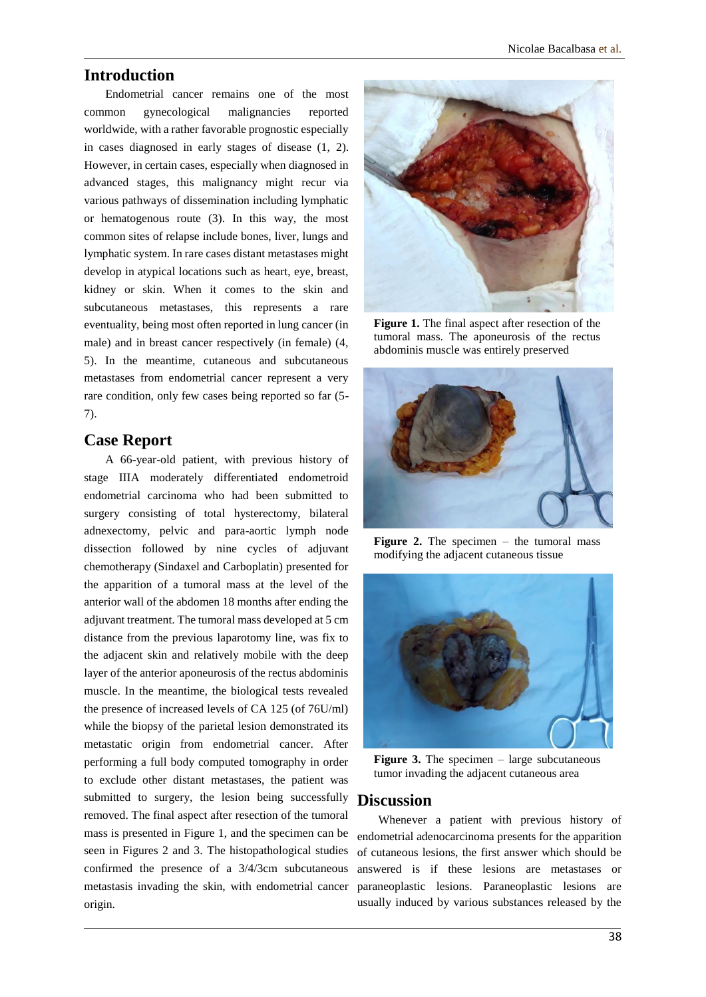#### **Introduction**

Endometrial cancer remains one of the most common gynecological malignancies reported worldwide, with a rather favorable prognostic especially in cases diagnosed in early stages of disease (1, 2). However, in certain cases, especially when diagnosed in advanced stages, this malignancy might recur via various pathways of dissemination including lymphatic or hematogenous route (3). In this way, the most common sites of relapse include bones, liver, lungs and lymphatic system. In rare cases distant metastases might develop in atypical locations such as heart, eye, breast, kidney or skin. When it comes to the skin and subcutaneous metastases, this represents a rare eventuality, being most often reported in lung cancer (in male) and in breast cancer respectively (in female) (4, 5). In the meantime, cutaneous and subcutaneous metastases from endometrial cancer represent a very rare condition, only few cases being reported so far (5- 7).

#### **Case Report**

A 66-year-old patient, with previous history of stage IIIA moderately differentiated endometroid endometrial carcinoma who had been submitted to surgery consisting of total hysterectomy, bilateral adnexectomy, pelvic and para-aortic lymph node dissection followed by nine cycles of adjuvant chemotherapy (Sindaxel and Carboplatin) presented for the apparition of a tumoral mass at the level of the anterior wall of the abdomen 18 months after ending the adjuvant treatment. The tumoral mass developed at 5 cm distance from the previous laparotomy line, was fix to the adjacent skin and relatively mobile with the deep layer of the anterior aponeurosis of the rectus abdominis muscle. In the meantime, the biological tests revealed the presence of increased levels of CA 125 (of 76U/ml) while the biopsy of the parietal lesion demonstrated its metastatic origin from endometrial cancer. After performing a full body computed tomography in order to exclude other distant metastases, the patient was submitted to surgery, the lesion being successfully removed. The final aspect after resection of the tumoral mass is presented in Figure 1, and the specimen can be seen in Figures 2 and 3. The histopathological studies confirmed the presence of a 3/4/3cm subcutaneous metastasis invading the skin, with endometrial cancer origin.



**Figure 1.** The final aspect after resection of the tumoral mass. The aponeurosis of the rectus abdominis muscle was entirely preserved



**Figure 2.** The specimen – the tumoral mass modifying the adjacent cutaneous tissue



**Figure 3.** The specimen – large subcutaneous tumor invading the adjacent cutaneous area

#### **Discussion**

Whenever a patient with previous history of endometrial adenocarcinoma presents for the apparition of cutaneous lesions, the first answer which should be answered is if these lesions are metastases or paraneoplastic lesions. Paraneoplastic lesions are usually induced by various substances released by the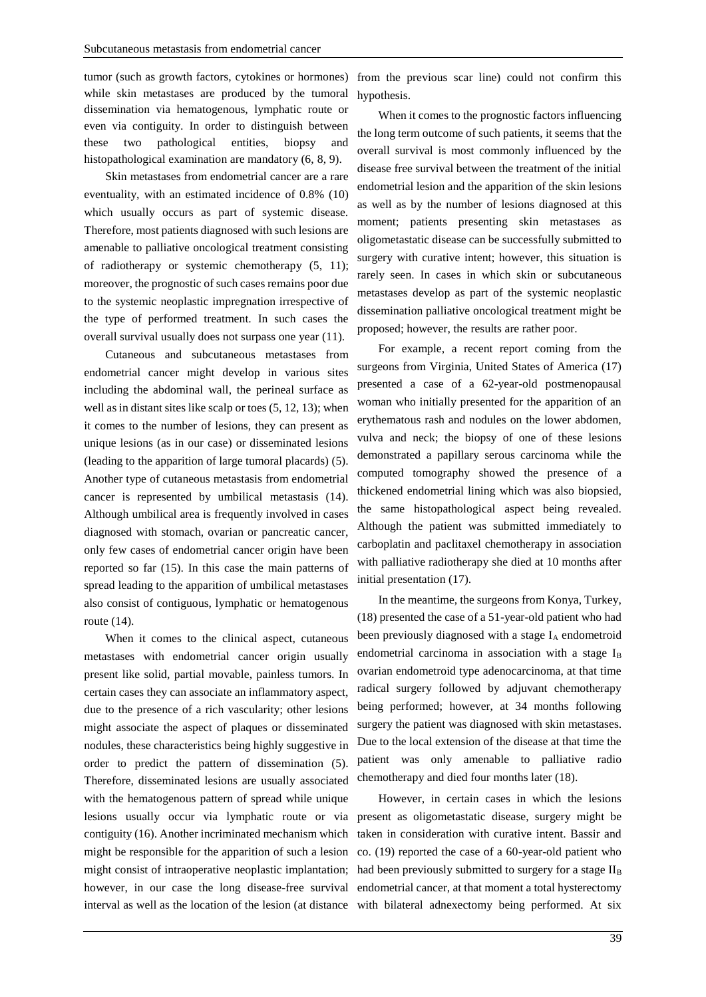tumor (such as growth factors, cytokines or hormones) while skin metastases are produced by the tumoral dissemination via hematogenous, lymphatic route or even via contiguity. In order to distinguish between these two pathological entities, biopsy and histopathological examination are mandatory (6, 8, 9).

Skin metastases from endometrial cancer are a rare eventuality, with an estimated incidence of 0.8% (10) which usually occurs as part of systemic disease. Therefore, most patients diagnosed with such lesions are amenable to palliative oncological treatment consisting of radiotherapy or systemic chemotherapy (5, 11); moreover, the prognostic of such cases remains poor due to the systemic neoplastic impregnation irrespective of the type of performed treatment. In such cases the overall survival usually does not surpass one year (11).

Cutaneous and subcutaneous metastases from endometrial cancer might develop in various sites including the abdominal wall, the perineal surface as well as in distant sites like scalp or toes (5, 12, 13); when it comes to the number of lesions, they can present as unique lesions (as in our case) or disseminated lesions (leading to the apparition of large tumoral placards) (5). Another type of cutaneous metastasis from endometrial cancer is represented by umbilical metastasis (14). Although umbilical area is frequently involved in cases diagnosed with stomach, ovarian or pancreatic cancer, only few cases of endometrial cancer origin have been reported so far (15). In this case the main patterns of spread leading to the apparition of umbilical metastases also consist of contiguous, lymphatic or hematogenous route (14).

When it comes to the clinical aspect, cutaneous metastases with endometrial cancer origin usually present like solid, partial movable, painless tumors. In certain cases they can associate an inflammatory aspect, due to the presence of a rich vascularity; other lesions might associate the aspect of plaques or disseminated nodules, these characteristics being highly suggestive in order to predict the pattern of dissemination (5). Therefore, disseminated lesions are usually associated with the hematogenous pattern of spread while unique lesions usually occur via lymphatic route or via contiguity (16). Another incriminated mechanism which might be responsible for the apparition of such a lesion interval as well as the location of the lesion (at distance with bilateral adnexectomy being performed. At six

from the previous scar line) could not confirm this hypothesis.

When it comes to the prognostic factors influencing the long term outcome of such patients, it seems that the overall survival is most commonly influenced by the disease free survival between the treatment of the initial endometrial lesion and the apparition of the skin lesions as well as by the number of lesions diagnosed at this moment; patients presenting skin metastases as oligometastatic disease can be successfully submitted to surgery with curative intent; however, this situation is rarely seen. In cases in which skin or subcutaneous metastases develop as part of the systemic neoplastic dissemination palliative oncological treatment might be proposed; however, the results are rather poor.

For example, a recent report coming from the surgeons from Virginia, United States of America (17) presented a case of a 62-year-old postmenopausal woman who initially presented for the apparition of an erythematous rash and nodules on the lower abdomen, vulva and neck; the biopsy of one of these lesions demonstrated a papillary serous carcinoma while the computed tomography showed the presence of a thickened endometrial lining which was also biopsied, the same histopathological aspect being revealed. Although the patient was submitted immediately to carboplatin and paclitaxel chemotherapy in association with palliative radiotherapy she died at 10 months after initial presentation (17).

In the meantime, the surgeons from Konya, Turkey, (18) presented the case of a 51-year-old patient who had been previously diagnosed with a stage I<sub>A</sub> endometroid endometrial carcinoma in association with a stage I<sub>B</sub> ovarian endometroid type adenocarcinoma, at that time radical surgery followed by adjuvant chemotherapy being performed; however, at 34 months following surgery the patient was diagnosed with skin metastases. Due to the local extension of the disease at that time the patient was only amenable to palliative radio chemotherapy and died four months later (18).

might consist of intraoperative neoplastic implantation; had been previously submitted to surgery for a stage  $II_B$ however, in our case the long disease-free survival endometrial cancer, at that moment a total hysterectomy However, in certain cases in which the lesions present as oligometastatic disease, surgery might be taken in consideration with curative intent. Bassir and co. (19) reported the case of a 60-year-old patient who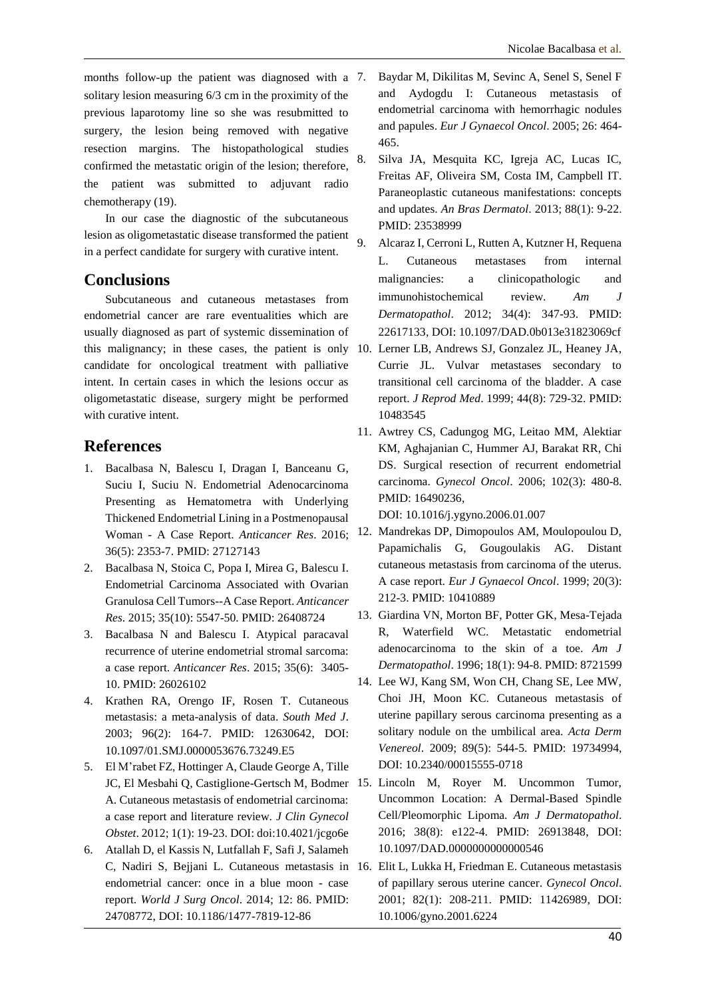months follow-up the patient was diagnosed with a 7. solitary lesion measuring 6/3 cm in the proximity of the previous laparotomy line so she was resubmitted to surgery, the lesion being removed with negative resection margins. The histopathological studies confirmed the metastatic origin of the lesion; therefore, the patient was submitted to adjuvant radio chemotherapy (19).

In our case the diagnostic of the subcutaneous lesion as oligometastatic disease transformed the patient in a perfect candidate for surgery with curative intent.

#### **Conclusions**

Subcutaneous and cutaneous metastases from endometrial cancer are rare eventualities which are usually diagnosed as part of systemic dissemination of this malignancy; in these cases, the patient is only 10. Lerner LB, Andrews SJ, Gonzalez JL, Heaney JA, candidate for oncological treatment with palliative intent. In certain cases in which the lesions occur as oligometastatic disease, surgery might be performed with curative intent.

### **References**

- 1. Bacalbasa N, Balescu I, Dragan I, Banceanu G, Suciu I, Suciu N. Endometrial Adenocarcinoma Presenting as Hematometra with Underlying Thickened Endometrial Lining in a Postmenopausal Woman - A Case Report. *Anticancer Res*. 2016; 36(5): 2353-7. PMID: 27127143
- 2. Bacalbasa N, Stoica C, Popa I, Mirea G, Balescu I. Endometrial Carcinoma Associated with Ovarian Granulosa Cell Tumors--A Case Report. *Anticancer Res*. 2015; 35(10): 5547-50. PMID: 26408724
- 3. Bacalbasa N and Balescu I. Atypical paracaval recurrence of uterine endometrial stromal sarcoma: a case report. *Anticancer Res*. 2015; 35(6): 3405- 10. PMID: 26026102
- 4. Krathen RA, Orengo IF, Rosen T. Cutaneous metastasis: a meta-analysis of data. *South Med J*. 2003; 96(2): 164-7. PMID: 12630642, DOI: 10.1097/01.SMJ.0000053676.73249.E5
- 5. El M'rabet FZ, Hottinger A, Claude George A, Tille A. Cutaneous metastasis of endometrial carcinoma: a case report and literature review. *J Clin Gynecol Obstet*. 2012; 1(1): 19-23. DOI: doi:10.4021/jcgo6e
- 6. Atallah D, el Kassis N, Lutfallah F, Safi J, Salameh endometrial cancer: once in a blue moon - case report. *World J Surg Oncol*. 2014; 12: 86. PMID: 24708772, DOI: 10.1186/1477-7819-12-86
- 7. Baydar M, Dikilitas M, Sevinc A, Senel S, Senel F and Aydogdu I: Cutaneous metastasis of endometrial carcinoma with hemorrhagic nodules and papules. *Eur J Gynaecol Oncol*. 2005; 26: 464- 465.
- 8. Silva JA, Mesquita KC, Igreja AC, Lucas IC, Freitas AF, Oliveira SM, Costa IM, Campbell IT. Paraneoplastic cutaneous manifestations: concepts and updates. *An Bras Dermatol*. 2013; 88(1): 9-22. PMID: 23538999
- 9. Alcaraz I, Cerroni L, Rutten A, Kutzner H, Requena L. Cutaneous metastases from internal malignancies: a clinicopathologic and immunohistochemical review. *Am J Dermatopathol*. 2012; 34(4): 347-93. PMID: 22617133, DOI: 10.1097/DAD.0b013e31823069cf
- Currie JL. Vulvar metastases secondary to transitional cell carcinoma of the bladder. A case report. *J Reprod Med*. 1999; 44(8): 729-32. PMID: 10483545
- 11. Awtrey CS, Cadungog MG, Leitao MM, Alektiar KM, Aghajanian C, Hummer AJ, Barakat RR, Chi DS. Surgical resection of recurrent endometrial carcinoma. *Gynecol Oncol*. 2006; 102(3): 480-8. PMID: 16490236,

DOI: 10.1016/j.ygyno.2006.01.007

- 12. Mandrekas DP, Dimopoulos AM, Moulopoulou D, Papamichalis G, Gougoulakis AG. Distant cutaneous metastasis from carcinoma of the uterus. A case report. *Eur J Gynaecol Oncol*. 1999; 20(3): 212-3. PMID: 10410889
- 13. Giardina VN, Morton BF, Potter GK, Mesa-Tejada R, Waterfield WC. Metastatic endometrial adenocarcinoma to the skin of a toe. *Am J Dermatopathol*. 1996; 18(1): 94-8. PMID: 8721599
- 14. Lee WJ, Kang SM, Won CH, Chang SE, Lee MW, Choi JH, Moon KC. Cutaneous metastasis of uterine papillary serous carcinoma presenting as a solitary nodule on the umbilical area. *Acta Derm Venereol*. 2009; 89(5): 544-5. PMID: 19734994, DOI: 10.2340/00015555-0718
- JC, El Mesbahi Q, Castiglione-Gertsch M, Bodmer 15. Lincoln M, Royer M. Uncommon Tumor, Uncommon Location: A Dermal-Based Spindle Cell/Pleomorphic Lipoma. *Am J Dermatopathol*. 2016; 38(8): e122-4. PMID: 26913848, DOI: 10.1097/DAD.0000000000000546
- C, Nadiri S, Bejjani L. Cutaneous metastasis in 16. Elit L, Lukka H, Friedman E. Cutaneous metastasis of papillary serous uterine cancer. *Gynecol Oncol*. 2001; 82(1): 208-211. PMID: 11426989, DOI: 10.1006/gyno.2001.6224